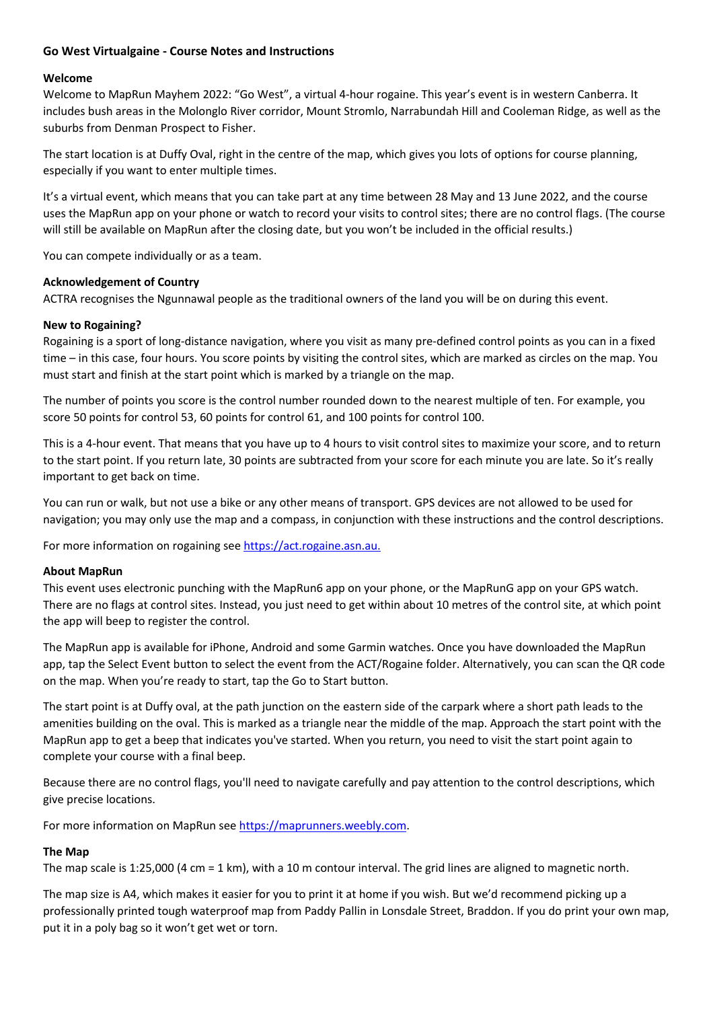# **Go West Virtualgaine - Course Notes and Instructions**

## **Welcome**

Welcome to MapRun Mayhem 2022: "Go West", a virtual 4-hour rogaine. This year's event is in western Canberra. It includes bush areas in the Molonglo River corridor, Mount Stromlo, Narrabundah Hill and Cooleman Ridge, as well as the suburbs from Denman Prospect to Fisher.

The start location is at Duffy Oval, right in the centre of the map, which gives you lots of options for course planning, especially if you want to enter multiple times.

It's a virtual event, which means that you can take part at any time between 28 May and 13 June 2022, and the course uses the MapRun app on your phone or watch to record your visits to control sites; there are no control flags. (The course will still be available on MapRun after the closing date, but you won't be included in the official results.)

You can compete individually or as a team.

#### **Acknowledgement of Country**

ACTRA recognises the Ngunnawal people as the traditional owners of the land you will be on during this event.

#### **New to Rogaining?**

Rogaining is a sport of long-distance navigation, where you visit as many pre-defined control points as you can in a fixed time – in this case, four hours. You score points by visiting the control sites, which are marked as circles on the map. You must start and finish at the start point which is marked by a triangle on the map.

The number of points you score is the control number rounded down to the nearest multiple of ten. For example, you score 50 points for control 53, 60 points for control 61, and 100 points for control 100.

This is a 4-hour event. That means that you have up to 4 hours to visit control sites to maximize your score, and to return to the start point. If you return late, 30 points are subtracted from your score for each minute you are late. So it's really important to get back on time.

You can run or walk, but not use a bike or any other means of transport. GPS devices are not allowed to be used for navigation; you may only use the map and a compass, in conjunction with these instructions and the control descriptions.

For more information on rogaining see https://act.rogaine.asn.au.

#### **About MapRun**

This event uses electronic punching with the MapRun6 app on your phone, or the MapRunG app on your GPS watch. There are no flags at control sites. Instead, you just need to get within about 10 metres of the control site, at which point the app will beep to register the control.

The MapRun app is available for iPhone, Android and some Garmin watches. Once you have downloaded the MapRun app, tap the Select Event button to select the event from the ACT/Rogaine folder. Alternatively, you can scan the QR code on the map. When you're ready to start, tap the Go to Start button.

The start point is at Duffy oval, at the path junction on the eastern side of the carpark where a short path leads to the amenities building on the oval. This is marked as a triangle near the middle of the map. Approach the start point with the MapRun app to get a beep that indicates you've started. When you return, you need to visit the start point again to complete your course with a final beep.

Because there are no control flags, you'll need to navigate carefully and pay attention to the control descriptions, which give precise locations.

For more information on MapRun see https://maprunners.weebly.com.

## **The Map**

The map scale is 1:25,000 (4 cm = 1 km), with a 10 m contour interval. The grid lines are aligned to magnetic north.

The map size is A4, which makes it easier for you to print it at home if you wish. But we'd recommend picking up a professionally printed tough waterproof map from Paddy Pallin in Lonsdale Street, Braddon. If you do print your own map, put it in a poly bag so it won't get wet or torn.